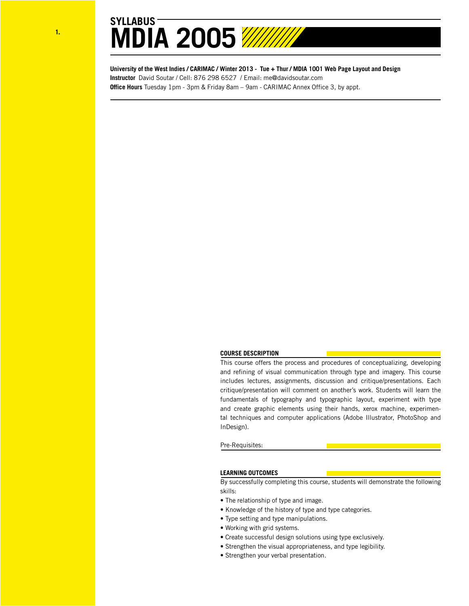**University of the West Indies / CARIMAC / Winter 2013 - Tue + Thur / MDIA 1001 Web Page Layout and Design Instructor** David Soutar / Cell: 876 298 6527 / Email: me@davidsoutar.com **Office Hours** Tuesday 1pm - 3pm & Friday 8am – 9am - CARIMAC Annex Office 3, by appt.

# **COURSE DESCRIPTION**

This course offers the process and procedures of conceptualizing, developing and refining of visual communication through type and imagery. This course includes lectures, assignments, discussion and critique/presentations. Each critique/presentation will comment on another's work. Students will learn the fundamentals of typography and typographic layout, experiment with type and create graphic elements using their hands, xerox machine, experimental techniques and computer applications (Adobe Illustrator, PhotoShop and InDesign).

# Pre-Requisites:

# **LEARNING OUTCOMES**

By successfully completing this course, students will demonstrate the following skills:

- The relationship of type and image.
- Knowledge of the history of type and type categories.
- Type setting and type manipulations.
- Working with grid systems.
- Create successful design solutions using type exclusively.
- Strengthen the visual appropriateness, and type legibility.
- Strengthen your verbal presentation.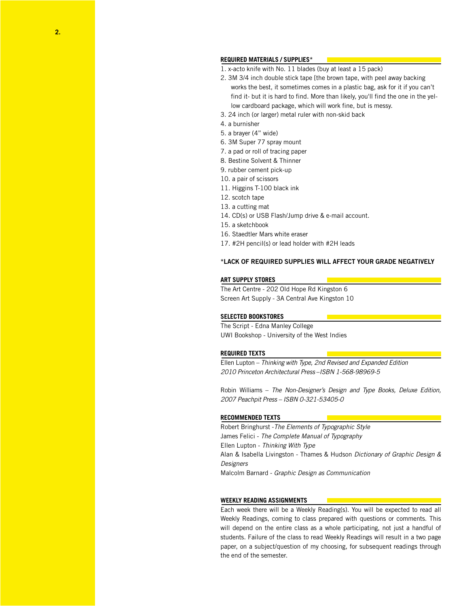# **REQUIRED MATERIALS / SUPPLIES\***

- 1. x-acto knife with No. 11 blades (buy at least a 15 pack)
- 2. 3M 3/4 inch double stick tape [the brown tape, with peel away backing works the best, it sometimes comes in a plastic bag, ask for it if you can't find it- but it is hard to find. More than likely, you'll find the one in the yellow cardboard package, which will work fine, but is messy.
- 3. 24 inch (or larger) metal ruler with non-skid back
- 4. a burnisher
- 5. a brayer (4" wide)
- 6. 3M Super 77 spray mount
- 7. a pad or roll of tracing paper
- 8. Bestine Solvent & Thinner
- 9. rubber cement pick-up
- 10. a pair of scissors
- 11. Higgins T-100 black ink
- 12. scotch tape
- 13. a cutting mat
- 14. CD(s) or USB Flash/Jump drive & e-mail account.
- 15. a sketchbook
- 16. Staedtler Mars white eraser
- 17. #2H pencil(s) or lead holder with #2H leads

# \*LACK OF REQUIRED SUPPLIES WILL AFFECT YOUR GRADE NEGATIVELY

## **ART SUPPLY STORES**

The Art Centre - 202 Old Hope Rd Kingston 6 Screen Art Supply - 3A Central Ave Kingston 10

## **SELECTED BOOKSTORES**

The Script - Edna Manley College UWI Bookshop - University of the West Indies

## **REQUIRED TEXTS**

Ellen Lupton – *Thinking with Type, 2nd Revised and Expanded Edition 2010 Princeton Architectural Press* –*ISBN 1-568-98969-5*

Robin Williams – *The Non-Designer's Design and Type Books, Deluxe Edition, 2007 Peachpit Press – ISBN 0-321-53405-0*

#### **RECOMMENDED TEXTS**

Robert Bringhurst -*The Elements of Typographic Style* James Felici - *The Complete Manual of Typography* Ellen Lupton - *Thinking With Type* Alan & Isabella Livingston - Thames & Hudson *Dictionary of Graphic Design & Designers* Malcolm Barnard - *Graphic Design as Communication*

## **WEEKLY READING ASSIGNMENTS**

Each week there will be a Weekly Reading(s). You will be expected to read all Weekly Readings, coming to class prepared with questions or comments. This will depend on the entire class as a whole participating, not just a handful of students. Failure of the class to read Weekly Readings will result in a two page paper, on a subject/question of my choosing, for subsequent readings through the end of the semester.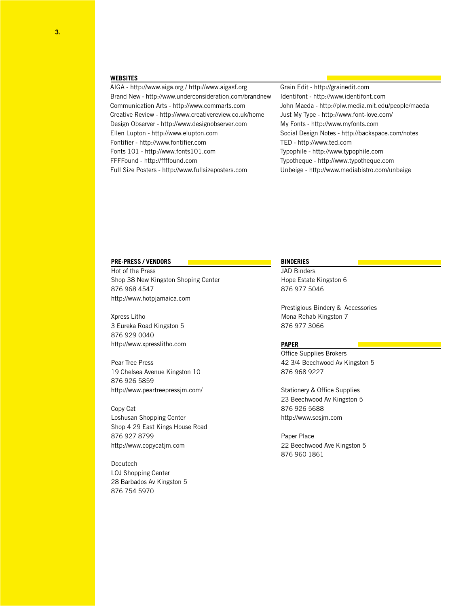#### **WEBSITES**

AIGA - http://www.aiga.org / http://www.aigasf.org Brand New - http://www.underconsideration.com/brandnew Communication Arts - http://www.commarts.com Creative Review - http://www.creativereview.co.uk/home Design Observer - http://www.designobserver.com Ellen Lupton - http://www.elupton.com Fontifier - http://www.fontifier.com Fonts 101 - http://www.fonts101.com FFFFound - http://ffffound.com Full Size Posters - http://www.fullsizeposters.com

Grain Edit - http://grainedit.com Identifont - http://www.identifont.com John Maeda - http://plw.media.mit.edu/people/maeda Just My Type - http://www.font-love.com/ My Fonts - http://www.myfonts.com Social Design Notes - http://backspace.com/notes TED - http://www.ted.com Typophile - http://www.typophile.com Typotheque - http://www.typotheque.com Unbeige - http://www.mediabistro.com/unbeige

# **PRE-PRESS / VENDORS**

Hot of the Press Shop 38 New Kingston Shoping Center 876 968 4547 http://www.hotpjamaica.com

Xpress Litho 3 Eureka Road Kingston 5 876 929 0040 http://www.xpresslitho.com

Pear Tree Press 19 Chelsea Avenue Kingston 10 876 926 5859 http://www.peartreepressjm.com/

Copy Cat Loshusan Shopping Center Shop 4 29 East Kings House Road 876 927 8799 http://www.copycatjm.com

Docutech LOJ Shopping Center 28 Barbados Av Kingston 5 876 754 5970

# **BINDERIES**

JAD Binders Hope Estate Kingston 6 876 977 5046

Prestigious Bindery & Accessories Mona Rehab Kingston 7 876 977 3066

# **PAPER**

Office Supplies Brokers 42 3/4 Beechwood Av Kingston 5 876 968 9227

Stationery & Office Supplies 23 Beechwood Av Kingston 5 876 926 5688 http://www.sosjm.com

Paper Place 22 Beechwood Ave Kingston 5 876 960 1861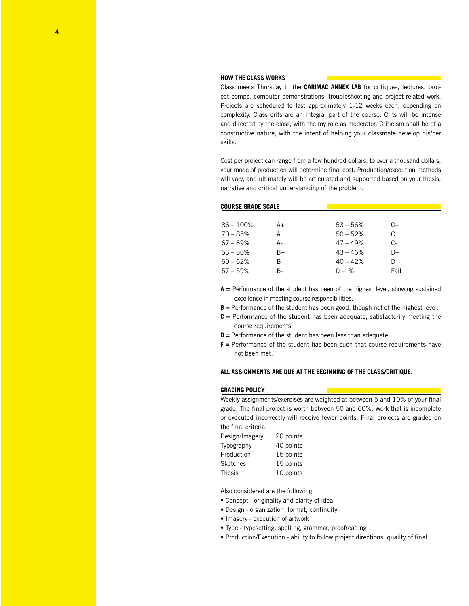#### **HOW THE CLASS WORKS**

Class meets Thursday in the **CARIMAC ANNEX LAB** for critiques, lectures, project comps, computer demonstrations, troubleshooting and project related work. Projects are scheduled to last approximately 1-12 weeks each, depending on complexity. Class crits are an integral part of the course. Crits will be intense and directed by the class, with the my role as moderator. Criticism shall be of a constructive nature, with the intent of helping your classmate develop his/her skills.

Cost per project can range from a few hundred dollars, to over a thousand dollars, your mode of production will determine final cost. Production/execution methods will vary, and ultimately will be articulated and supported based on your thesis, narrative and critical understanding of the problem.

#### **COURSE GRADE SCALE**

| $86 - 100\%$ | $A+$ | $53 - 56%$ | C+   |  |
|--------------|------|------------|------|--|
| $70 - 85%$   | А    | $50 - 52%$ | С    |  |
| $67 - 69%$   | А-   | $47 - 49%$ | C-   |  |
| $63 - 66%$   | $B+$ | $43 - 46%$ | D+   |  |
| $60 - 62%$   | R    | $40 - 42%$ | D    |  |
| $57 - 59%$   | R-   | $0 - \%$   | Fail |  |

- **A =** Performance of the student has been of the highest level, showing sustained excellence in meeting course responsibilities.
- **B** = Performance of the student has been good, though not of the highest level.
- **C =** Performance of the student has been adequate, satisfactorily meeting the course requirements.
- **D =** Performance of the student has been less than adequate.
- **F =** Performance of the student has been such that course requirements have not been met.

# **ALL ASSIGNMENTS ARE DUE AT THE BEGINNING OF THE CLASS/CRITIQUE.**

#### **GRADING POLICY**

Weekly assignments/exercises are weighted at between 5 and 10% of your final grade. The final project is worth between 50 and 60%. Work that is incomplete or executed incorrectly will receive fewer points. Final projects are graded on the final criteria:

| Design/Imagery | 20 points |  |  |
|----------------|-----------|--|--|
| Typography     | 40 points |  |  |
| Production     | 15 points |  |  |
| Sketches       | 15 points |  |  |
| Thesis         | 10 points |  |  |

Also considered are the following:

- Concept originality and clarity of idea
- Design organization, format, continuity
- Imagery execution of artwork
- Type typesetting, spelling, grammar, proofreading
- Production/Execution ability to follow project directions, quality of final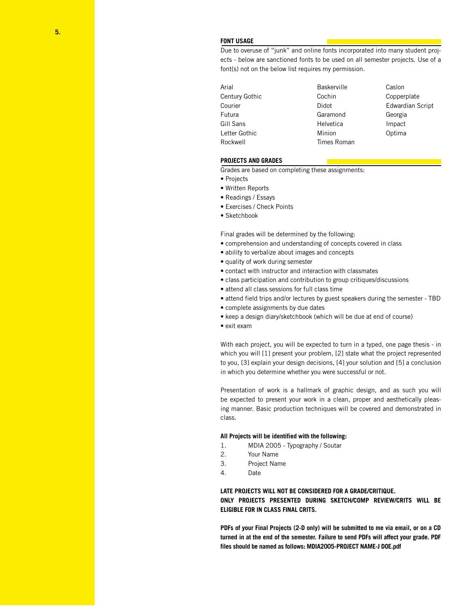# **FONT USAGE**

Due to overuse of "junk" and online fonts incorporated into many student projects - below are sanctioned fonts to be used on all semester projects. Use of a font(s) not on the below list requires my permission.

| Arial          | <b>Baskerville</b> | Caslon                  |
|----------------|--------------------|-------------------------|
| Century Gothic | Cochin             | Copperplate             |
| Courier        | Didot              | <b>Edwardian Script</b> |
| Futura         | Garamond           | Georgia                 |
| Gill Sans      | Helvetica          | Impact                  |
| Letter Gothic  | Minion             | Optima                  |
| Rockwell       | Times Roman        |                         |

## **PROJECTS AND GRADES**

Grades are based on completing these assignments:

- Projects
- Written Reports
- Readings / Essays
- Exercises / Check Points
- Sketchbook

Final grades will be determined by the following:

- comprehension and understanding of concepts covered in class
- ability to verbalize about images and concepts
- quality of work during semester
- contact with instructor and interaction with classmates
- class participation and contribution to group critiques/discussions
- attend all class sessions for full class time
- attend field trips and/or lectures by guest speakers during the semester TBD
- complete assignments by due dates
- keep a design diary/sketchbook (which will be due at end of course)
- exit exam

With each project, you will be expected to turn in a typed, one page thesis - in which you will [1] present your problem, [2] state what the project represented to you, [3] explain your design decisions, [4] your solution and [5] a conclusion in which you determine whether you were successful or not.

Presentation of work is a hallmark of graphic design, and as such you will be expected to present your work in a clean, proper and aesthetically pleasing manner. Basic production techniques will be covered and demonstrated in class.

#### **All Projects will be identified with the following:**

- 1. MDIA 2005 Typography / Soutar
- 2. Your Name
- 3. Project Name
- 4. Date

# **LATE PROJECTS WILL NOT BE CONSIDERED FOR A GRADE/CRITIQUE.**

**ONLY PROJECTS PRESENTED DURING SKETCH/COMP REVIEW/CRITS WILL BE ELIGIBLE FOR IN CLASS FINAL CRITS.**

**PDFs of your Final Projects (2-D only) will be submitted to me via email, or on a CD turned in at the end of the semester. Failure to send PDFs will affect your grade. PDF files should be named as follows: MDIA2005-PROJECT NAME-J DOE.pdf**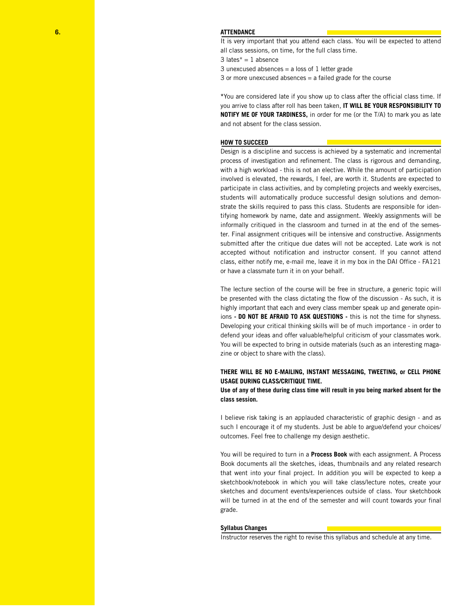It is very important that you attend each class. You will be expected to attend all class sessions, on time, for the full class time.

3 lates $* = 1$  absence

3 unexcused absences = a loss of 1 letter grade

3 or more unexcused absences = a failed grade for the course

**\***You are considered late if you show up to class after the official class time. If you arrive to class after roll has been taken, **IT WILL BE YOUR RESPONSIBILITY TO NOTIFY ME OF YOUR TARDINESS,** in order for me (or the T/A) to mark you as late and not absent for the class session.

## **HOW TO SUCCEED**

Design is a discipline and success is achieved by a systematic and incremental process of investigation and refinement. The class is rigorous and demanding, with a high workload - this is not an elective. While the amount of participation involved is elevated, the rewards, I feel, are worth it. Students are expected to participate in class activities, and by completing projects and weekly exercises, students will automatically produce successful design solutions and demonstrate the skills required to pass this class. Students are responsible for identifying homework by name, date and assignment. Weekly assignments will be informally critiqued in the classroom and turned in at the end of the semester. Final assignment critiques will be intensive and constructive. Assignments submitted after the critique due dates will not be accepted. Late work is not accepted without notification and instructor consent. If you cannot attend class, either notify me, e-mail me, leave it in my box in the DAI Office - FA121 or have a classmate turn it in on your behalf.

The lecture section of the course will be free in structure, a generic topic will be presented with the class dictating the flow of the discussion - As such, it is highly important that each and every class member speak up and generate opinions **- DO NOT BE AFRAID TO ASK QUESTIONS -** this is not the time for shyness. Developing your critical thinking skills will be of much importance - in order to defend your ideas and offer valuable/helpful criticism of your classmates work. You will be expected to bring in outside materials (such as an interesting magazine or object to share with the class).

# **THERE WILL BE NO E-MAILING, INSTANT MESSAGING, TWEETING, or CELL PHONE USAGE DURING CLASS/CRITIQUE TIME.**

**Use of any of these during class time will result in you being marked absent for the class session.** 

I believe risk taking is an applauded characteristic of graphic design - and as such I encourage it of my students. Just be able to argue/defend your choices/ outcomes. Feel free to challenge my design aesthetic.

You will be required to turn in a **Process Book** with each assignment. A Process Book documents all the sketches, ideas, thumbnails and any related research that went into your final project. In addition you will be expected to keep a sketchbook/notebook in which you will take class/lecture notes, create your sketches and document events/experiences outside of class. Your sketchbook will be turned in at the end of the semester and will count towards your final grade.

#### **Syllabus Changes**

Instructor reserves the right to revise this syllabus and schedule at any time.